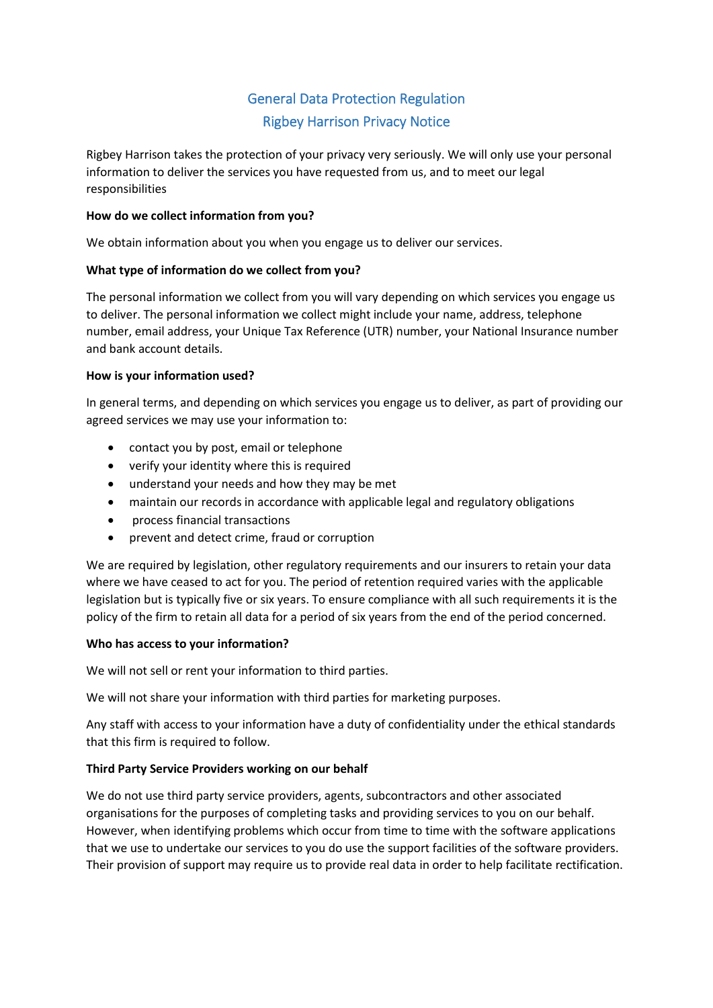# General Data Protection Regulation Rigbey Harrison Privacy Notice

Rigbey Harrison takes the protection of your privacy very seriously. We will only use your personal information to deliver the services you have requested from us, and to meet our legal responsibilities

## **How do we collect information from you?**

We obtain information about you when you engage us to deliver our services.

## **What type of information do we collect from you?**

The personal information we collect from you will vary depending on which services you engage us to deliver. The personal information we collect might include your name, address, telephone number, email address, your Unique Tax Reference (UTR) number, your National Insurance number and bank account details.

## **How is your information used?**

In general terms, and depending on which services you engage us to deliver, as part of providing our agreed services we may use your information to:

- contact you by post, email or telephone
- verify your identity where this is required
- understand your needs and how they may be met
- maintain our records in accordance with applicable legal and regulatory obligations
- process financial transactions
- prevent and detect crime, fraud or corruption

We are required by legislation, other regulatory requirements and our insurers to retain your data where we have ceased to act for you. The period of retention required varies with the applicable legislation but is typically five or six years. To ensure compliance with all such requirements it is the policy of the firm to retain all data for a period of six years from the end of the period concerned.

## **Who has access to your information?**

We will not sell or rent your information to third parties.

We will not share your information with third parties for marketing purposes.

Any staff with access to your information have a duty of confidentiality under the ethical standards that this firm is required to follow.

## **Third Party Service Providers working on our behalf**

We do not use third party service providers, agents, subcontractors and other associated organisations for the purposes of completing tasks and providing services to you on our behalf. However, when identifying problems which occur from time to time with the software applications that we use to undertake our services to you do use the support facilities of the software providers. Their provision of support may require us to provide real data in order to help facilitate rectification.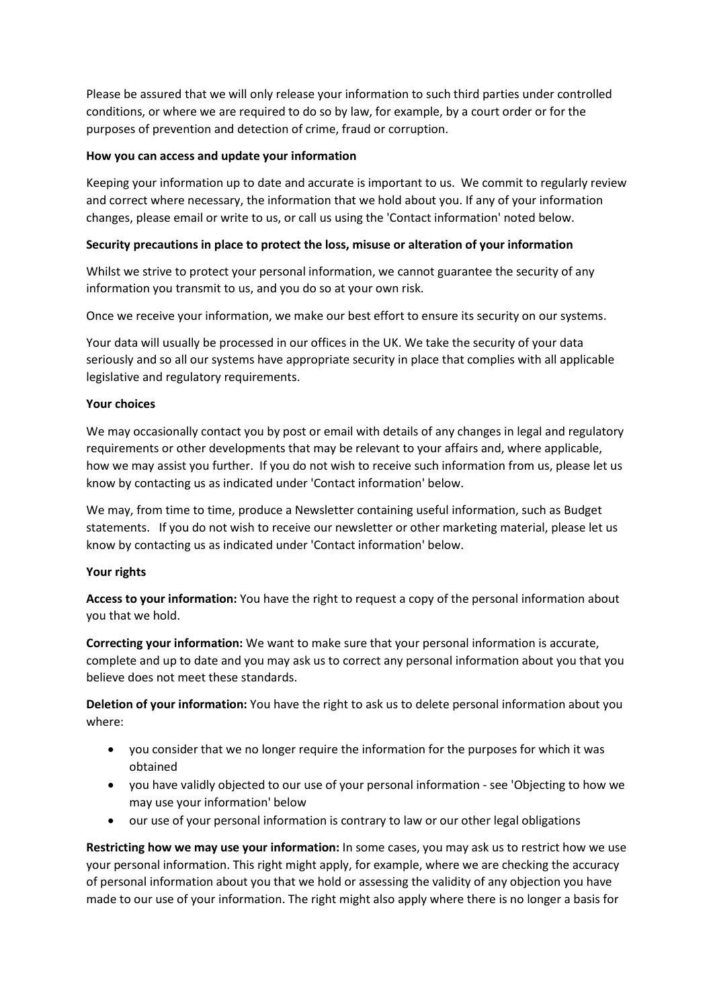Please be assured that we will only release your information to such third parties under controlled conditions, or where we are required to do so by law, for example, by a court order or for the purposes of prevention and detection of crime, fraud or corruption.

#### **How you can access and update your information**

Keeping your information up to date and accurate is important to us. We commit to regularly review and correct where necessary, the information that we hold about you. If any of your information changes, please email or write to us, or call us using the 'Contact information' noted below.

## **Security precautions in place to protect the loss, misuse or alteration of your information**

Whilst we strive to protect your personal information, we cannot guarantee the security of any information you transmit to us, and you do so at your own risk.

Once we receive your information, we make our best effort to ensure its security on our systems.

Your data will usually be processed in our offices in the UK. We take the security of your data seriously and so all our systems have appropriate security in place that complies with all applicable legislative and regulatory requirements.

## **Your choices**

We may occasionally contact you by post or email with details of any changes in legal and regulatory requirements or other developments that may be relevant to your affairs and, where applicable, how we may assist you further. If you do not wish to receive such information from us, please let us know by contacting us as indicated under 'Contact information' below.

We may, from time to time, produce a Newsletter containing useful information, such as Budget statements. If you do not wish to receive our newsletter or other marketing material, please let us know by contacting us as indicated under 'Contact information' below.

#### **Your rights**

**Access to your information:** You have the right to request a copy of the personal information about you that we hold.

**Correcting your information:** We want to make sure that your personal information is accurate, complete and up to date and you may ask us to correct any personal information about you that you believe does not meet these standards.

**Deletion of your information:** You have the right to ask us to delete personal information about you where:

- you consider that we no longer require the information for the purposes for which it was obtained
- you have validly objected to our use of your personal information see 'Objecting to how we may use your information' below
- our use of your personal information is contrary to law or our other legal obligations

**Restricting how we may use your information:** In some cases, you may ask us to restrict how we use your personal information. This right might apply, for example, where we are checking the accuracy of personal information about you that we hold or assessing the validity of any objection you have made to our use of your information. The right might also apply where there is no longer a basis for